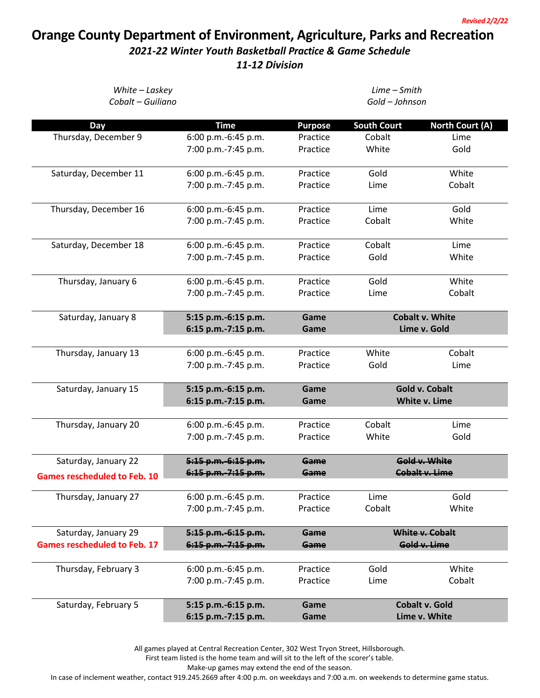## **Orange County Department of Environment, Agriculture, Parks and Recreation**

## *2021-22 Winter Youth Basketball Practice & Game Schedule*

*11-12 Division*

| White - Laskey<br>Cobalt - Guiliano |                     | Lime - Smith<br>Gold - Johnson |                    |                        |  |
|-------------------------------------|---------------------|--------------------------------|--------------------|------------------------|--|
| Day                                 | <b>Time</b>         | <b>Purpose</b>                 | <b>South Court</b> | <b>North Court (A)</b> |  |
| Thursday, December 9                | 6:00 p.m.-6:45 p.m. | Practice                       | Cobalt             | Lime                   |  |
|                                     | 7:00 p.m.-7:45 p.m. | Practice                       | White              | Gold                   |  |
| Saturday, December 11               | 6:00 p.m.-6:45 p.m. | Practice                       | Gold               | White                  |  |
|                                     | 7:00 p.m.-7:45 p.m. | Practice                       | Lime               | Cobalt                 |  |
| Thursday, December 16               | 6:00 p.m.-6:45 p.m. | Practice                       | Lime               | Gold                   |  |
|                                     | 7:00 p.m.-7:45 p.m. | Practice                       | Cobalt             | White                  |  |
| Saturday, December 18               | 6:00 p.m.-6:45 p.m. | Practice                       | Cobalt             | Lime                   |  |
|                                     | 7:00 p.m.-7:45 p.m. | Practice                       | Gold               | White                  |  |
| Thursday, January 6                 | 6:00 p.m.-6:45 p.m. | Practice                       | Gold               | White                  |  |
|                                     | 7:00 p.m.-7:45 p.m. | Practice                       | Lime               | Cobalt                 |  |
| Saturday, January 8                 | 5:15 p.m.-6:15 p.m. | Game                           |                    | <b>Cobalt v. White</b> |  |
|                                     | 6:15 p.m.-7:15 p.m. | Game                           |                    | Lime v. Gold           |  |
| Thursday, January 13                | 6:00 p.m.-6:45 p.m. | Practice                       | White              | Cobalt                 |  |
|                                     | 7:00 p.m.-7:45 p.m. | Practice                       | Gold               | Lime                   |  |
| Saturday, January 15                | 5:15 p.m.-6:15 p.m. | Game                           |                    | <b>Gold v. Cobalt</b>  |  |
|                                     | 6:15 p.m.-7:15 p.m. | Game                           |                    | White v. Lime          |  |
| Thursday, January 20                | 6:00 p.m.-6:45 p.m. | Practice                       | Cobalt             | Lime                   |  |
|                                     | 7:00 p.m.-7:45 p.m. | Practice                       | White              | Gold                   |  |
| Saturday, January 22                | 5:15 p.m. 6:15 p.m. | Game                           |                    | Gold v. White          |  |
| <b>Games rescheduled to Feb. 10</b> | 6:15 p.m. 7:15 p.m. | Game                           |                    | <b>Cobalt v. Lime</b>  |  |
| Thursday, January 27                | 6:00 p.m.-6:45 p.m. | Practice                       | Lime               | Gold                   |  |
|                                     | 7:00 p.m.-7:45 p.m. | Practice                       | Cobalt             | White                  |  |
| Saturday, January 29                | 5:15 p.m. 6:15 p.m. | Game                           |                    | White v. Cobalt        |  |
| <b>Games rescheduled to Feb. 17</b> | 6:15 p.m. 7:15 p.m. | Game                           |                    | Gold v. Lime           |  |
| Thursday, February 3                | 6:00 p.m.-6:45 p.m. | Practice                       | Gold               | White                  |  |
|                                     | 7:00 p.m.-7:45 p.m. | Practice                       | Lime               | Cobalt                 |  |
| Saturday, February 5                | 5:15 p.m.-6:15 p.m. | Game                           |                    | <b>Cobalt v. Gold</b>  |  |
|                                     | 6:15 p.m.-7:15 p.m. | Game                           |                    | Lime v. White          |  |

All games played at Central Recreation Center, 302 West Tryon Street, Hillsborough.

First team listed is the home team and will sit to the left of the scorer's table.

Make-up games may extend the end of the season.

In case of inclement weather, contact 919.245.2669 after 4:00 p.m. on weekdays and 7:00 a.m. on weekends to determine game status.